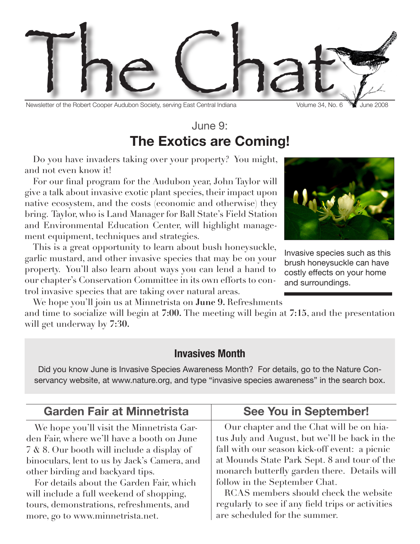

Newsletter of the Robert Cooper Audubon Society, serving East Central Indiana Volume 34, No. 6 July 34, No. 6 June 2008

## June 9: **The Exotics are Coming!**

Do you have invaders taking over your property? You might, and not even know it!

For our final program for the Audubon year, John Taylor will give a talk about invasive exotic plant species, their impact upon native ecosystem, and the costs (economic and otherwise) they bring. Taylor, who is Land Manager for Ball State's Field Station and Environmental Education Center, will highlight management equipment, techniques and strategies.



Invasive species such as this brush honeysuckle can have costly effects on your home and surroundings.

This is a great opportunity to learn about bush honeysuckle, garlic mustard, and other invasive species that may be on your property. You'll also learn about ways you can lend a hand to our chapter's Conservation Committee in its own efforts to control invasive species that are taking over natural areas.

We hope you'll join us at Minnetrista on **June 9.** Refreshments and time to socialize will begin at **7:00.** The meeting will begin at **7:15**, and the presentation will get underway by **7:30.** 

### **Invasives Month**

Did you know June is Invasive Species Awareness Month? For details, go to the Nature Conservancy website, at www.nature.org, and type "invasive species awareness" in the search box.

| <b>Garden Fair at Minnetrista</b>                                                                                                                                                                                                                                                                                                                             | <b>See You in September!</b>                                                                                                                                                                                                                                                                                                                                              |  |
|---------------------------------------------------------------------------------------------------------------------------------------------------------------------------------------------------------------------------------------------------------------------------------------------------------------------------------------------------------------|---------------------------------------------------------------------------------------------------------------------------------------------------------------------------------------------------------------------------------------------------------------------------------------------------------------------------------------------------------------------------|--|
| We hope you'll visit the Minnetrista Gar-<br>den Fair, where we'll have a booth on June<br>7 & 8. Our booth will include a display of<br>binoculars, lent to us by Jack's Camera, and<br>other birding and backyard tips.<br>For details about the Garden Fair, which<br>will include a full weekend of shopping,<br>tours, demonstrations, refreshments, and | Our chapter and the Chat will be on hia-<br>tus July and August, but we'll be back in the<br>fall with our season kick-off event: a picnic<br>at Mounds State Park Sept. 8 and tour of the<br>monarch butterfly garden there. Details will<br>follow in the September Chat.<br>RCAS members should check the website<br>regularly to see if any field trips or activities |  |
| more, go to www.minnetrista.net.                                                                                                                                                                                                                                                                                                                              | are scheduled for the summer.                                                                                                                                                                                                                                                                                                                                             |  |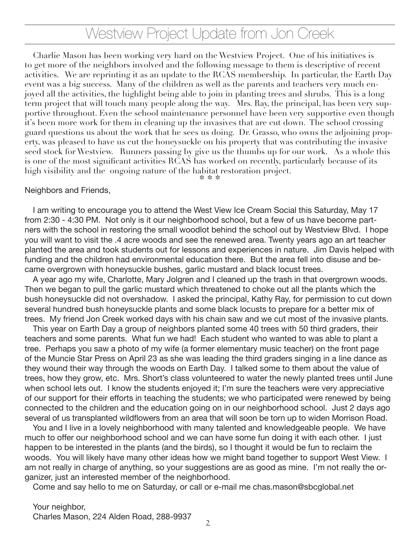# Westview Project Update from Jon Creek

Charlie Mason has been working very hard on the Westview Project. One of his initiatives is to get more of the neighbors involved and the following message to them is descriptive of recent activities. We are reprinting it as an update to the RCAS membership. In particular, the Earth Day event was a big success. Many of the children as well as the parents and teachers very much enjoyed all the activities, the highlight being able to join in planting trees and shrubs. This is a long term project that will touch many people along the way. Mrs. Ray, the principal, has been very supportive throughout. Even the school maintenance personnel have been very supportive even though it's been more work for them in cleaning up the invasives that are cut down. The school crossing guard questions us about the work that he sees us doing. Dr. Grasso, who owns the adjoining property, was pleased to have us cut the honeysuckle on his property that was contributing the invasive seed stock for Westview. Runners passing by give us the thumbs up for our work. As a whole this is one of the most significant activities RCAS has worked on recently, particularly because of its high visibility and the ongoing nature of the habitat restoration project.

\* \* \*

#### Neighbors and Friends,

I am writing to encourage you to attend the West View Ice Cream Social this Saturday, May 17 from 2:30 - 4:30 PM. Not only is it our neighborhood school, but a few of us have become partners with the school in restoring the small woodlot behind the school out by Westview Blvd. I hope you will want to visit the .4 acre woods and see the renewed area. Twenty years ago an art teacher planted the area and took students out for lessons and experiences in nature. Jim Davis helped with funding and the children had environmental education there. But the area fell into disuse and became overgrown with honeysuckle bushes, garlic mustard and black locust trees.

A year ago my wife, Charlotte, Mary Jolgren and I cleaned up the trash in that overgrown woods. Then we began to pull the garlic mustard which threatened to choke out all the plants which the bush honeysuckle did not overshadow. I asked the principal, Kathy Ray, for permission to cut down several hundred bush honeysuckle plants and some black locusts to prepare for a better mix of trees. My friend Jon Creek worked days with his chain saw and we cut most of the invasive plants.

This year on Earth Day a group of neighbors planted some 40 trees with 50 third graders, their teachers and some parents. What fun we had! Each student who wanted to was able to plant a tree. Perhaps you saw a photo of my wife (a former elementary music teacher) on the front page of the Muncie Star Press on April 23 as she was leading the third graders singing in a line dance as they wound their way through the woods on Earth Day. I talked some to them about the value of trees, how they grow, etc. Mrs. Short's class volunteered to water the newly planted trees until June when school lets out. I know the students enjoyed it; I'm sure the teachers were very appreciative of our support for their efforts in teaching the students; we who participated were renewed by being connected to the children and the education going on in our neighborhood school. Just 2 days ago several of us transplanted wildflowers from an area that will soon be torn up to widen Morrison Road.

You and I live in a lovely neighborhood with many talented and knowledgeable people. We have much to offer our neighborhood school and we can have some fun doing it with each other. I just happen to be interested in the plants (and the birds), so I thought it would be fun to reclaim the woods. You will likely have many other ideas how we might band together to support West View. I am not really in charge of anything, so your suggestions are as good as mine. I'm not really the organizer, just an interested member of the neighborhood.

Come and say hello to me on Saturday, or call or e-mail me chas.mason@sbcglobal.net

#### Your neighbor,

Charles Mason, 224 Alden Road, 288-9937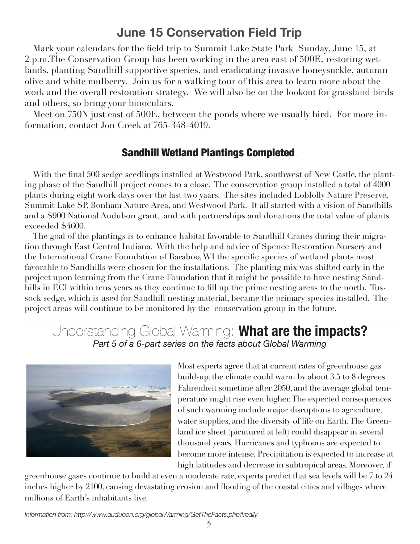## **June 15 Conservation Field Trip**

Mark your calendars for the field trip to Summit Lake State Park Sunday, June 15, at 2 p.m.The Conservation Group has been working in the area east of 500E, restoring wetlands, planting Sandhill supportive species, and eradicating invasive honeysuckle, autumn olive and white mulberry. Join us for a walking tour of this area to learn more about the work and the overall restoration strategy. We will also be on the lookout for grassland birds and others, so bring your binoculars.

Meet on 750N just east of 500E, between the ponds where we usually bird. For more information, contact Jon Creek at 765-348-4019.

### Sandhill Wetland Plantings Completed.

With the final 500 sedge seedlings installed at Westwood Park, southwest of New Castle, the planting phase of the Sandhill project comes to a close. The conservation group installed a total of 4000 plants during eight work days over the last two yaars. The sites included Loblolly Nature Preserve, Summit Lake SP, Bonham Nature Area, and Westwood Park. It all started with a vision of Sandhills and a \$900 National Audubon grant, and with partnerships and donations the total value of plants exceeded \$4600.

The goal of the plantings is to enhance habitat favorable to Sandhill Cranes during their migration through East Central Indiana. With the help and advice of Spence Restoration Nursery and the International Crane Foundation of Baraboo, WI the specific species of wetland plants most favorable to Sandhills were chosen for the installations. The planting mix was shifted early in the project upon learning from the Crane Foundation that it might be possible to have nesting Sandhills in ECI within tens years as they continue to fill up the prime nesting areas to the north. Tussock sedge, which is used for Sandhill nesting material, became the primary species installed. The project areas will continue to be monitored by the conservation group in the future.

## Understanding Global Warming: **What are the impacts?** *Part 5 of a 6-part series on the facts about Global Warming*



Most experts agree that at current rates of greenhouse gas build-up, the climate could warm by about 3.5 to 8 degrees Fahrenheit sometime after 2050, and the average global temperature might rise even higher. The expected consequences of such warming include major disruptions to agriculture, water supplies, and the diversity of life on Earth. The Greenland ice sheet (picutured at left) could disappear in several thousand years. Hurricanes and typhoons are expected to become more intense. Precipitation is expected to increase at high latitudes and decrease in subtropical areas. Moreover, if

greenhouse gases continue to build at even a moderate rate, experts predict that sea levels will be 7 to 24 inches higher by 2100, causing devastating erosion and flooding of the coastal cities and villages where millions of Earth's inhabitants live.

*Information from: http://www.audubon.org/globalWarming/GetTheFacts.php#really*